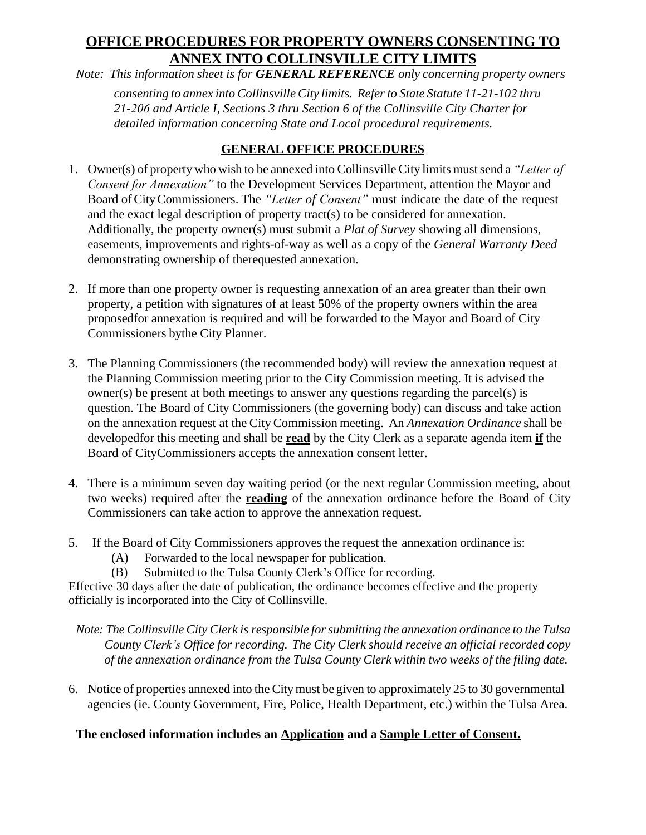## **OFFICE PROCEDURES FOR PROPERTY OWNERS CONSENTING TO ANNEX INTO COLLINSVILLE CITY LIMITS**

*Note: This information sheet is for GENERAL REFERENCE only concerning property owners*

*consenting to annex into Collinsville City limits. Refer to State Statute 11-21-102 thru 21-206 and Article I, Sections 3 thru Section 6 of the Collinsville City Charter for detailed information concerning State and Local procedural requirements.*

### **GENERAL OFFICE PROCEDURES**

- 1. Owner(s) of property who wish to be annexed into Collinsville City limits mustsend a *"Letter of Consent for Annexation"* to the Development Services Department, attention the Mayor and Board ofCityCommissioners. The *"Letter of Consent"* must indicate the date of the request and the exact legal description of property tract(s) to be considered for annexation. Additionally, the property owner(s) must submit a *Plat of Survey* showing all dimensions, easements, improvements and rights-of-way as well as a copy of the *General Warranty Deed* demonstrating ownership of therequested annexation.
- 2. If more than one property owner is requesting annexation of an area greater than their own property, a petition with signatures of at least 50% of the property owners within the area proposedfor annexation is required and will be forwarded to the Mayor and Board of City Commissioners bythe City Planner.
- 3. The Planning Commissioners (the recommended body) will review the annexation request at the Planning Commission meeting prior to the City Commission meeting. It is advised the owner(s) be present at both meetings to answer any questions regarding the parcel(s) is question. The Board of City Commissioners (the governing body) can discuss and take action on the annexation request at the CityCommission meeting. An *Annexation Ordinance* shall be developedfor this meeting and shall be **read** by the City Clerk as a separate agenda item **if** the Board of CityCommissioners accepts the annexation consent letter.
- 4. There is a minimum seven day waiting period (or the next regular Commission meeting, about two weeks) required after the **reading** of the annexation ordinance before the Board of City Commissioners can take action to approve the annexation request.
- 5. If the Board of City Commissioners approves the request the annexation ordinance is:
	- (A) Forwarded to the local newspaper for publication.
	- (B) Submitted to the Tulsa County Clerk's Office for recording.

Effective 30 days after the date of publication, the ordinance becomes effective and the property officially is incorporated into the City of Collinsville.

*Note: The Collinsville City Clerk is responsible forsubmitting the annexation ordinance to the Tulsa County Clerk's Office for recording. The City Clerk should receive an official recorded copy of the annexation ordinance from the Tulsa County Clerk within two weeks of the filing date.*

6. Notice of properties annexed into the Citymust be given to approximately 25 to 30 governmental agencies (ie. County Government, Fire, Police, Health Department, etc.) within the Tulsa Area.

#### **The enclosed information includes an Application and a Sample Letter of Consent.**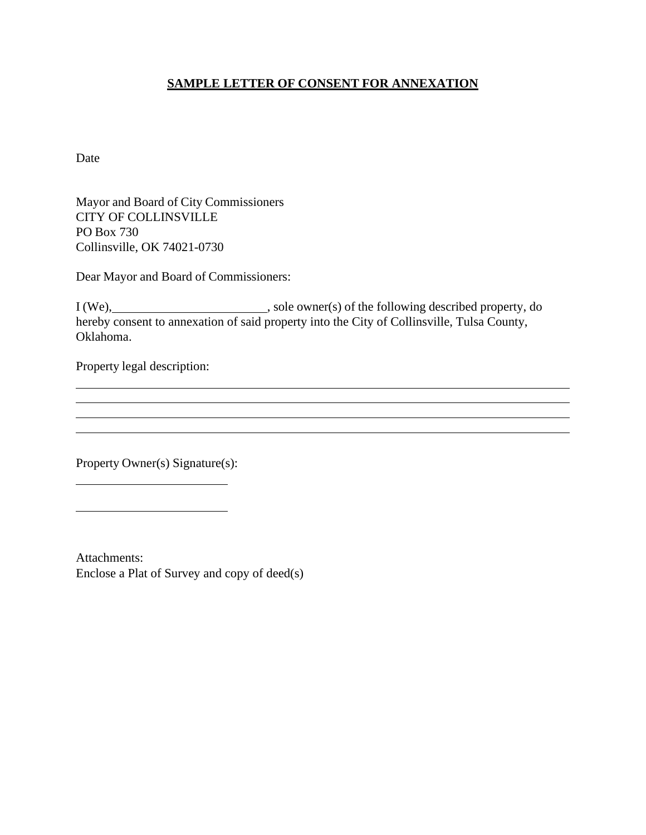#### **SAMPLE LETTER OF CONSENT FOR ANNEXATION**

Date

Mayor and Board of City Commissioners CITY OF COLLINSVILLE PO Box 730 Collinsville, OK 74021-0730

Dear Mayor and Board of Commissioners:

I (We), sole owner(s) of the following described property, do hereby consent to annexation of said property into the City of Collinsville, Tulsa County, Oklahoma.

Property legal description:

Property Owner(s) Signature(s):

Attachments: Enclose a Plat of Survey and copy of deed(s)